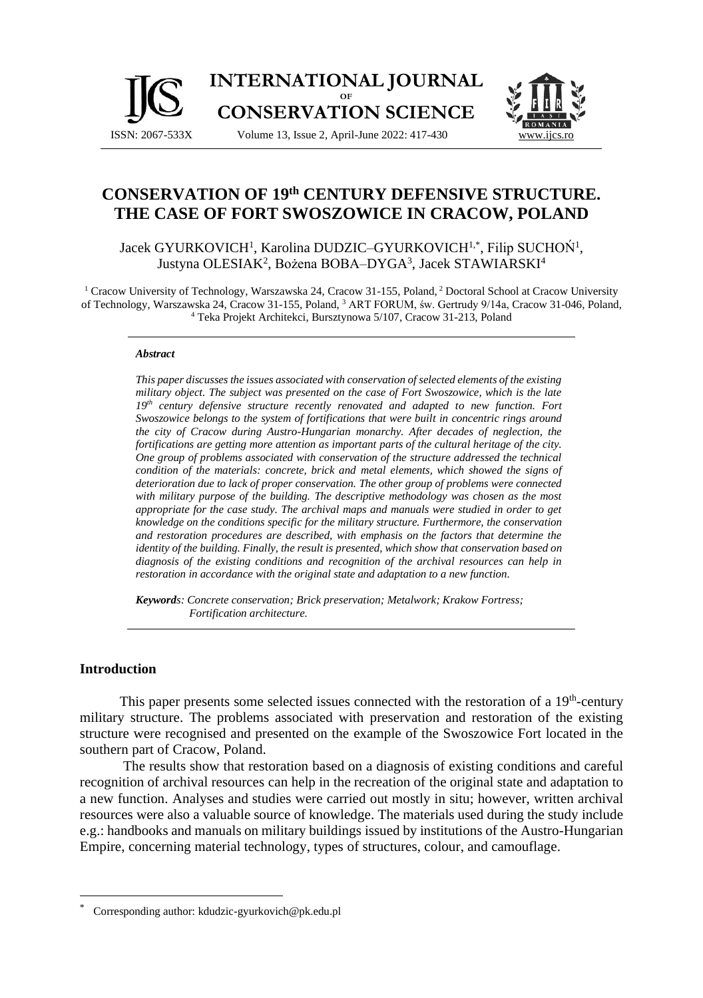



# **CONSERVATION OF 19th CENTURY DEFENSIVE STRUCTURE. THE CASE OF FORT SWOSZOWICE IN CRACOW, POLAND**

Jacek GYURKOVICH<sup>1</sup>, Karolina DUDZIC–GYURKOVICH<sup>1,\*</sup>, Filip SUCHOŃ<sup>1</sup>, Justyna OLESIAK<sup>2</sup>, Bożena BOBA–DYGA<sup>3</sup>, Jacek STAWIARSKI<sup>4</sup>

<sup>1</sup> Cracow University of Technology, Warszawska 24, Cracow 31-155, Poland, <sup>2</sup> Doctoral School at Cracow University of Technology, Warszawska 24, Cracow 31-155, Poland, <sup>3</sup> ART FORUM, św. Gertrudy 9/14a, Cracow 31-046, Poland, <sup>4</sup> Teka Projekt Architekci, Bursztynowa 5/107, Cracow 31-213, Poland

#### *Abstract*

*This paper discusses the issues associated with conservation of selected elements of the existing military object. The subject was presented on the case of Fort Swoszowice, which is the late 19th century defensive structure recently renovated and adapted to new function. Fort Swoszowice belongs to the system of fortifications that were built in concentric rings around the city of Cracow during Austro-Hungarian monarchy. After decades of neglection, the fortifications are getting more attention as important parts of the cultural heritage of the city. One group of problems associated with conservation of the structure addressed the technical condition of the materials: concrete, brick and metal elements, which showed the signs of deterioration due to lack of proper conservation. The other group of problems were connected with military purpose of the building. The descriptive methodology was chosen as the most appropriate for the case study. The archival maps and manuals were studied in order to get knowledge on the conditions specific for the military structure. Furthermore, the conservation and restoration procedures are described, with emphasis on the factors that determine the identity of the building. Finally, the result is presented, which show that conservation based on diagnosis of the existing conditions and recognition of the archival resources can help in restoration in accordance with the original state and adaptation to a new function.*

*Keywords: Concrete conservation; Brick preservation; Metalwork; Krakow Fortress; Fortification architecture.*

#### **Introduction**

This paper presents some selected issues connected with the restoration of a 19<sup>th</sup>-century military structure. The problems associated with preservation and restoration of the existing structure were recognised and presented on the example of the Swoszowice Fort located in the southern part of Cracow, Poland.

The results show that restoration based on a diagnosis of existing conditions and careful recognition of archival resources can help in the recreation of the original state and adaptation to a new function. Analyses and studies were carried out mostly in situ; however, written archival resources were also a valuable source of knowledge. The materials used during the study include e.g.: handbooks and manuals on military buildings issued by institutions of the Austro-Hungarian Empire, concerning material technology, types of structures, colour, and camouflage.

Corresponding author: kdudzic-gyurkovich@pk.edu.pl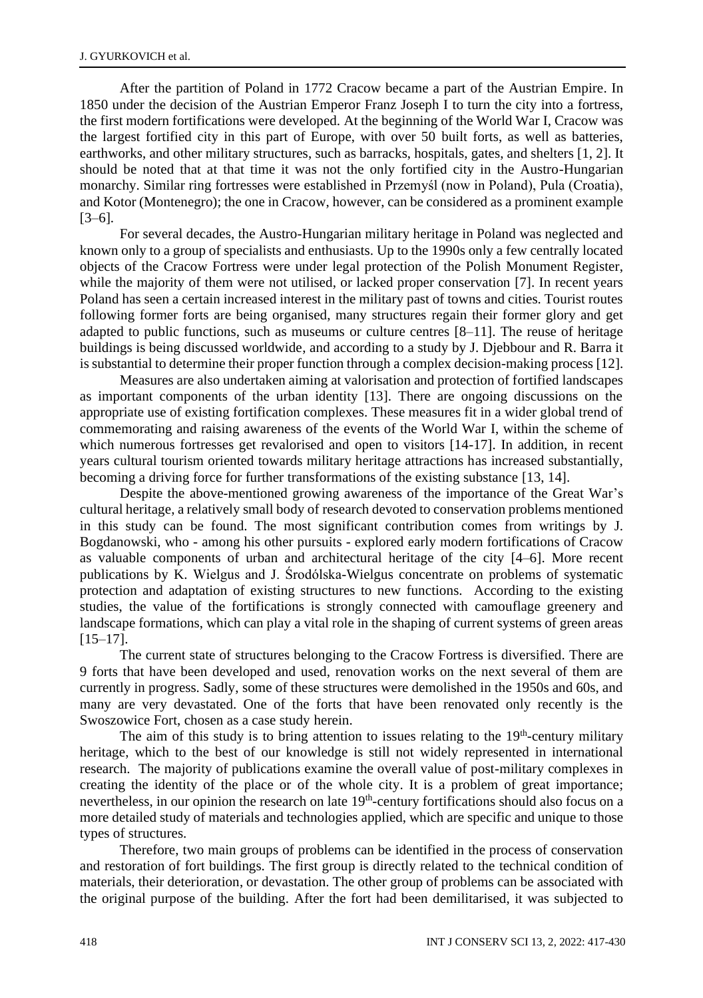After the partition of Poland in 1772 Cracow became a part of the Austrian Empire. In 1850 under the decision of the Austrian Emperor Franz Joseph I to turn the city into a fortress, the first modern fortifications were developed. At the beginning of the World War I, Cracow was the largest fortified city in this part of Europe, with over 50 built forts, as well as batteries, earthworks, and other military structures, such as barracks, hospitals, gates, and shelters [1, 2]. It should be noted that at that time it was not the only fortified city in the Austro-Hungarian monarchy. Similar ring fortresses were established in Przemyśl (now in Poland), Pula (Croatia), and Kotor (Montenegro); the one in Cracow, however, can be considered as a prominent example [3–6].

For several decades, the Austro-Hungarian military heritage in Poland was neglected and known only to a group of specialists and enthusiasts. Up to the 1990s only a few centrally located objects of the Cracow Fortress were under legal protection of the Polish Monument Register, while the majority of them were not utilised, or lacked proper conservation [7]. In recent years Poland has seen a certain increased interest in the military past of towns and cities. Tourist routes following former forts are being organised, many structures regain their former glory and get adapted to public functions, such as museums or culture centres [8–11]. The reuse of heritage buildings is being discussed worldwide, and according to a study by J. Djebbour and R. Barra it is substantial to determine their proper function through a complex decision-making process [12].

Measures are also undertaken aiming at valorisation and protection of fortified landscapes as important components of the urban identity [13]. There are ongoing discussions on the appropriate use of existing fortification complexes. These measures fit in a wider global trend of commemorating and raising awareness of the events of the World War I, within the scheme of which numerous fortresses get revalorised and open to visitors [14-17]. In addition, in recent years cultural tourism oriented towards military heritage attractions has increased substantially, becoming a driving force for further transformations of the existing substance [13, 14].

Despite the above-mentioned growing awareness of the importance of the Great War's cultural heritage, a relatively small body of research devoted to conservation problems mentioned in this study can be found. The most significant contribution comes from writings by J. Bogdanowski, who - among his other pursuits - explored early modern fortifications of Cracow as valuable components of urban and architectural heritage of the city [4–6]. More recent publications by K. Wielgus and J. Środólska-Wielgus concentrate on problems of systematic protection and adaptation of existing structures to new functions. According to the existing studies, the value of the fortifications is strongly connected with camouflage greenery and landscape formations, which can play a vital role in the shaping of current systems of green areas  $[15–17]$ .

The current state of structures belonging to the Cracow Fortress is diversified. There are 9 forts that have been developed and used, renovation works on the next several of them are currently in progress. Sadly, some of these structures were demolished in the 1950s and 60s, and many are very devastated. One of the forts that have been renovated only recently is the Swoszowice Fort, chosen as a case study herein.

The aim of this study is to bring attention to issues relating to the  $19<sup>th</sup>$ -century military heritage, which to the best of our knowledge is still not widely represented in international research. The majority of publications examine the overall value of post-military complexes in creating the identity of the place or of the whole city. It is a problem of great importance; nevertheless, in our opinion the research on late 19<sup>th</sup>-century fortifications should also focus on a more detailed study of materials and technologies applied, which are specific and unique to those types of structures.

Therefore, two main groups of problems can be identified in the process of conservation and restoration of fort buildings. The first group is directly related to the technical condition of materials, their deterioration, or devastation. The other group of problems can be associated with the original purpose of the building. After the fort had been demilitarised, it was subjected to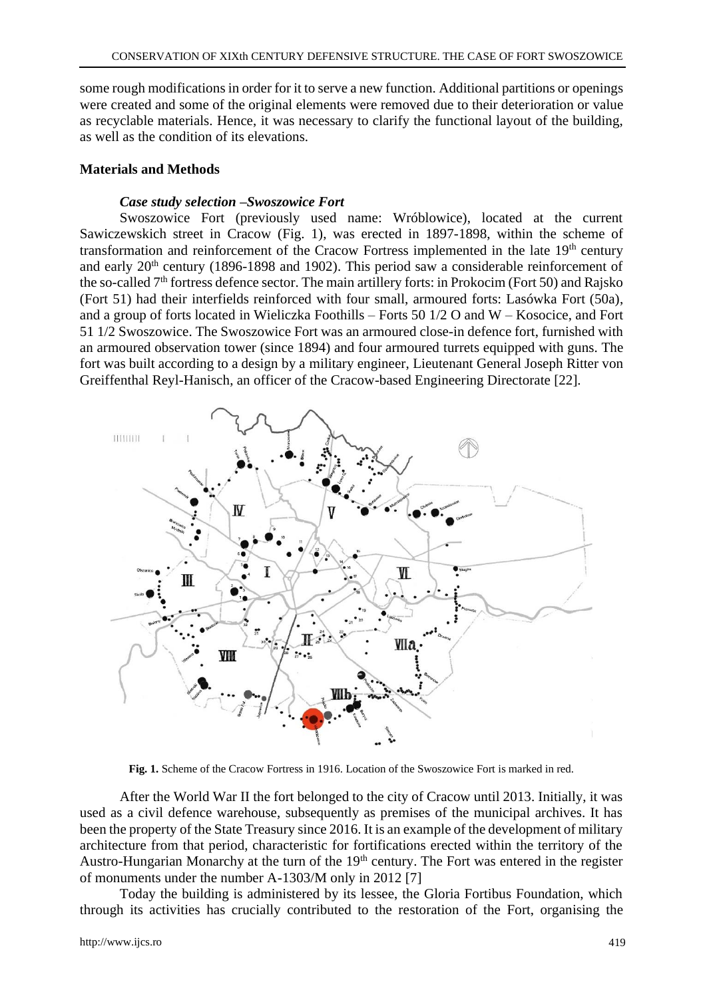some rough modifications in order for it to serve a new function. Additional partitions or openings were created and some of the original elements were removed due to their deterioration or value as recyclable materials. Hence, it was necessary to clarify the functional layout of the building, as well as the condition of its elevations.

## **Materials and Methods**

## *Case study selection* **–***Swoszowice Fort*

Swoszowice Fort (previously used name: Wróblowice), located at the current Sawiczewskich street in Cracow (Fig. 1), was erected in 1897-1898, within the scheme of transformation and reinforcement of the Cracow Fortress implemented in the late 19<sup>th</sup> century and early 20<sup>th</sup> century (1896-1898 and 1902). This period saw a considerable reinforcement of the so-called 7th fortress defence sector. The main artillery forts: in Prokocim (Fort 50) and Rajsko (Fort 51) had their interfields reinforced with four small, armoured forts: Lasówka Fort (50a), and a group of forts located in Wieliczka Foothills – Forts 50 1/2 O and W – Kosocice, and Fort 51 1/2 Swoszowice. The Swoszowice Fort was an armoured close-in defence fort, furnished with an armoured observation tower (since 1894) and four armoured turrets equipped with guns. The fort was built according to a design by a military engineer, Lieutenant General Joseph Ritter von Greiffenthal Reyl-Hanisch, an officer of the Cracow-based Engineering Directorate [22].



**Fig. 1.** Scheme of the Cracow Fortress in 1916. Location of the Swoszowice Fort is marked in red.

After the World War II the fort belonged to the city of Cracow until 2013. Initially, it was used as a civil defence warehouse, subsequently as premises of the municipal archives. It has been the property of the State Treasury since 2016. It is an example of the development of military architecture from that period, characteristic for fortifications erected within the territory of the Austro-Hungarian Monarchy at the turn of the 19<sup>th</sup> century. The Fort was entered in the register of monuments under the number A-1303/M only in 2012 [7]

Today the building is administered by its lessee, the Gloria Fortibus Foundation, which through its activities has crucially contributed to the restoration of the Fort, organising the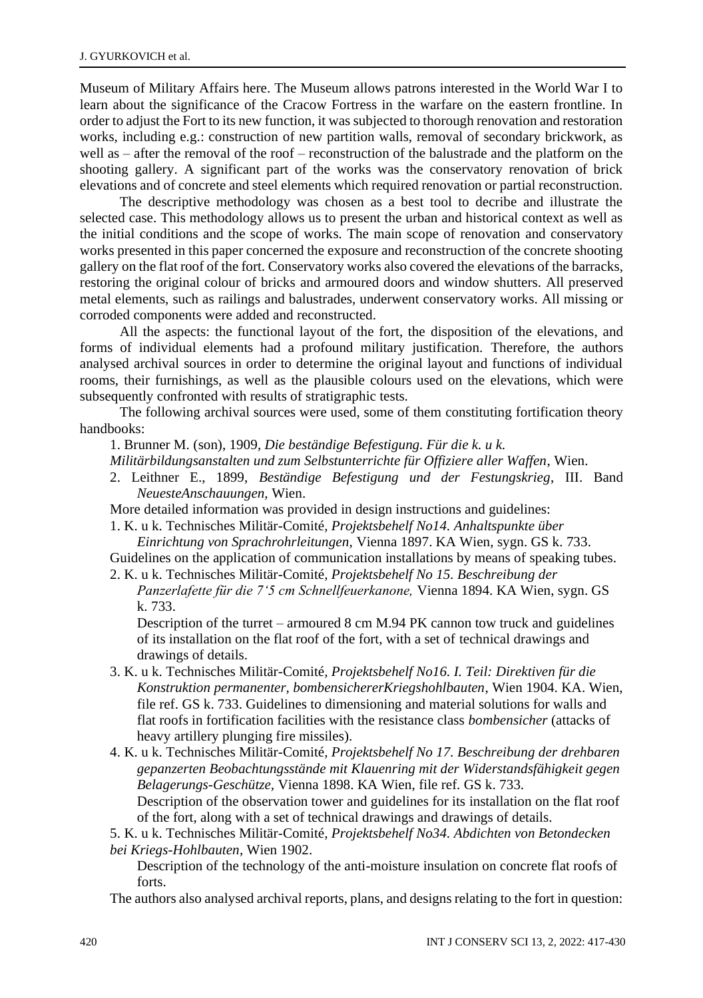Museum of Military Affairs here. The Museum allows patrons interested in the World War I to learn about the significance of the Cracow Fortress in the warfare on the eastern frontline. In order to adjust the Fort to its new function, it was subjected to thorough renovation and restoration works, including e.g.: construction of new partition walls, removal of secondary brickwork, as well as – after the removal of the roof – reconstruction of the balustrade and the platform on the shooting gallery. A significant part of the works was the conservatory renovation of brick elevations and of concrete and steel elements which required renovation or partial reconstruction.

The descriptive methodology was chosen as a best tool to decribe and illustrate the selected case. This methodology allows us to present the urban and historical context as well as the initial conditions and the scope of works. The main scope of renovation and conservatory works presented in this paper concerned the exposure and reconstruction of the concrete shooting gallery on the flat roof of the fort. Conservatory works also covered the elevations of the barracks, restoring the original colour of bricks and armoured doors and window shutters. All preserved metal elements, such as railings and balustrades, underwent conservatory works. All missing or corroded components were added and reconstructed.

All the aspects: the functional layout of the fort, the disposition of the elevations, and forms of individual elements had a profound military justification. Therefore, the authors analysed archival sources in order to determine the original layout and functions of individual rooms, their furnishings, as well as the plausible colours used on the elevations, which were subsequently confronted with results of stratigraphic tests.

The following archival sources were used, some of them constituting fortification theory handbooks:

1. Brunner M. (son), 1909, *Die beständige Befestigung. Für die k. u k.*

*Militärbildungsanstalten und zum Selbstunterrichte für Offiziere aller Waffen*, Wien.

2. Leithner E., 1899, *Beständige Befestigung und der Festungskrieg*, III. Band *NeuesteAnschauungen,* Wien.

More detailed information was provided in design instructions and guidelines:

1. K. u k. Technisches Militär-Comité*, Projektsbehelf No14. Anhaltspunkte über Einrichtung von Sprachrohrleitungen,* Vienna 1897. KA Wien, sygn. GS k. 733.

Guidelines on the application of communication installations by means of speaking tubes.

2. K. u k. Technisches Militär-Comité*, Projektsbehelf No 15. Beschreibung der Panzerlafette für die 7'5 cm Schnellfeuerkanone,* Vienna 1894. KA Wien, sygn. GS k. 733.

Description of the turret – armoured 8 cm M.94 PK cannon tow truck and guidelines of its installation on the flat roof of the fort, with a set of technical drawings and drawings of details.

- 3. K. u k. Technisches Militär-Comité*, Projektsbehelf No16. I. Teil: Direktiven für die Konstruktion permanenter, bombensichererKriegshohlbauten*, Wien 1904. KA. Wien, file ref. GS k. 733. Guidelines to dimensioning and material solutions for walls and flat roofs in fortification facilities with the resistance class *bombensicher* (attacks of heavy artillery plunging fire missiles).
- 4. K. u k. Technisches Militär-Comité*, Projektsbehelf No 17. Beschreibung der drehbaren gepanzerten Beobachtungsstände mit Klauenring mit der Widerstandsfähigkeit gegen Belagerungs-Geschütze,* Vienna 1898. KA Wien, file ref. GS k. 733. Description of the observation tower and guidelines for its installation on the flat roof of the fort, along with a set of technical drawings and drawings of details.
- 5. K. u k. Technisches Militär-Comité*, Projektsbehelf No34. Abdichten von Betondecken*

*bei Kriegs-Hohlbauten*, Wien 1902.

Description of the technology of the anti-moisture insulation on concrete flat roofs of forts.

The authors also analysed archival reports, plans, and designs relating to the fort in question: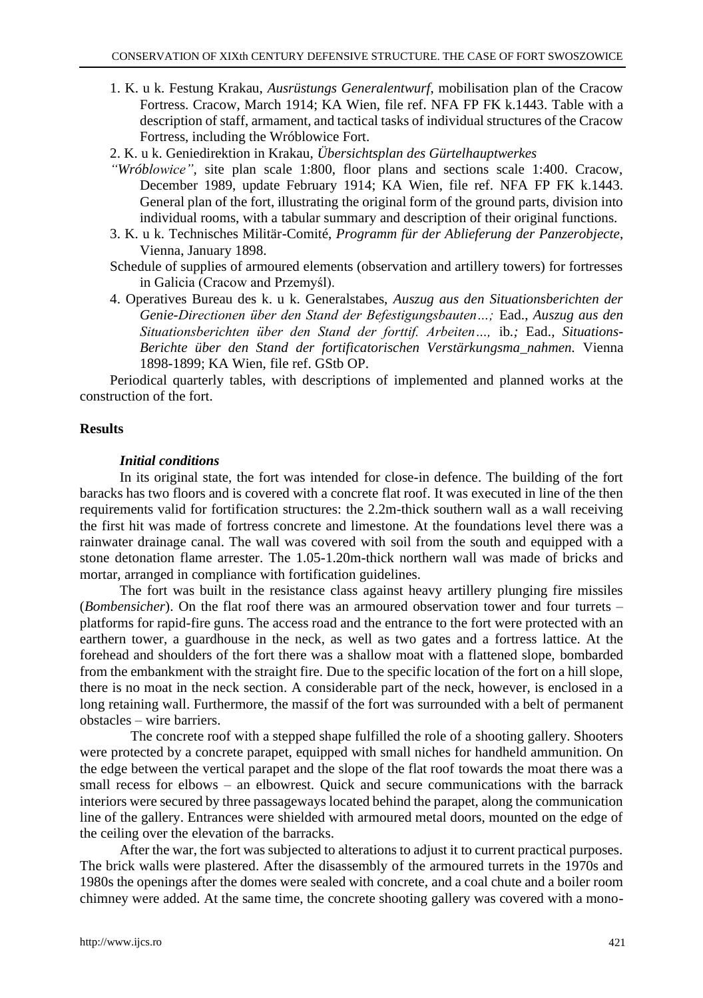- 1. K. u k. Festung Krakau, *Ausrüstungs Generalentwurf*, mobilisation plan of the Cracow Fortress. Cracow, March 1914; KA Wien, file ref. NFA FP FK k.1443. Table with a description of staff, armament, and tactical tasks of individual structures of the Cracow Fortress, including the Wróblowice Fort.
- 2. K. u k. Geniedirektion in Krakau, *Übersichtsplan des Gürtelhauptwerkes*
- *"Wróblowice",* site plan scale 1:800, floor plans and sections scale 1:400. Cracow, December 1989, update February 1914; KA Wien, file ref. NFA FP FK k.1443. General plan of the fort, illustrating the original form of the ground parts, division into individual rooms, with a tabular summary and description of their original functions.
- 3. K. u k. Technisches Militär-Comité, *Programm für der Ablieferung der Panzerobjecte*, Vienna, January 1898.
- Schedule of supplies of armoured elements (observation and artillery towers) for fortresses in Galicia (Cracow and Przemyśl).
- 4. Operatives Bureau des k. u k. Generalstabes, *Auszug aus den Situationsberichten der Genie-Directionen über den Stand der Befestigungsbauten…;* Ead., *Auszug aus den Situationsberichten über den Stand der forttif. Arbeiten…,* ib*.;* Ead.*, Situations-Berichte über den Stand der fortificatorischen Verstärkungsma\_nahmen.* Vienna 1898-1899; KA Wien, file ref. GStb OP.

Periodical quarterly tables, with descriptions of implemented and planned works at the construction of the fort.

### **Results**

#### *Initial conditions*

In its original state, the fort was intended for close-in defence. The building of the fort baracks has two floors and is covered with a concrete flat roof. It was executed in line of the then requirements valid for fortification structures: the 2.2m-thick southern wall as a wall receiving the first hit was made of fortress concrete and limestone. At the foundations level there was a rainwater drainage canal. The wall was covered with soil from the south and equipped with a stone detonation flame arrester. The 1.05-1.20m-thick northern wall was made of bricks and mortar, arranged in compliance with fortification guidelines.

The fort was built in the resistance class against heavy artillery plunging fire missiles (*Bombensicher*). On the flat roof there was an armoured observation tower and four turrets – platforms for rapid-fire guns. The access road and the entrance to the fort were protected with an earthern tower, a guardhouse in the neck, as well as two gates and a fortress lattice. At the forehead and shoulders of the fort there was a shallow moat with a flattened slope, bombarded from the embankment with the straight fire. Due to the specific location of the fort on a hill slope, there is no moat in the neck section. A considerable part of the neck, however, is enclosed in a long retaining wall. Furthermore, the massif of the fort was surrounded with a belt of permanent obstacles – wire barriers.

The concrete roof with a stepped shape fulfilled the role of a shooting gallery. Shooters were protected by a concrete parapet, equipped with small niches for handheld ammunition. On the edge between the vertical parapet and the slope of the flat roof towards the moat there was a small recess for elbows – an elbowrest. Quick and secure communications with the barrack interiors were secured by three passageways located behind the parapet, along the communication line of the gallery. Entrances were shielded with armoured metal doors, mounted on the edge of the ceiling over the elevation of the barracks.

After the war, the fort was subjected to alterations to adjust it to current practical purposes. The brick walls were plastered. After the disassembly of the armoured turrets in the 1970s and 1980s the openings after the domes were sealed with concrete, and a coal chute and a boiler room chimney were added. At the same time, the concrete shooting gallery was covered with a mono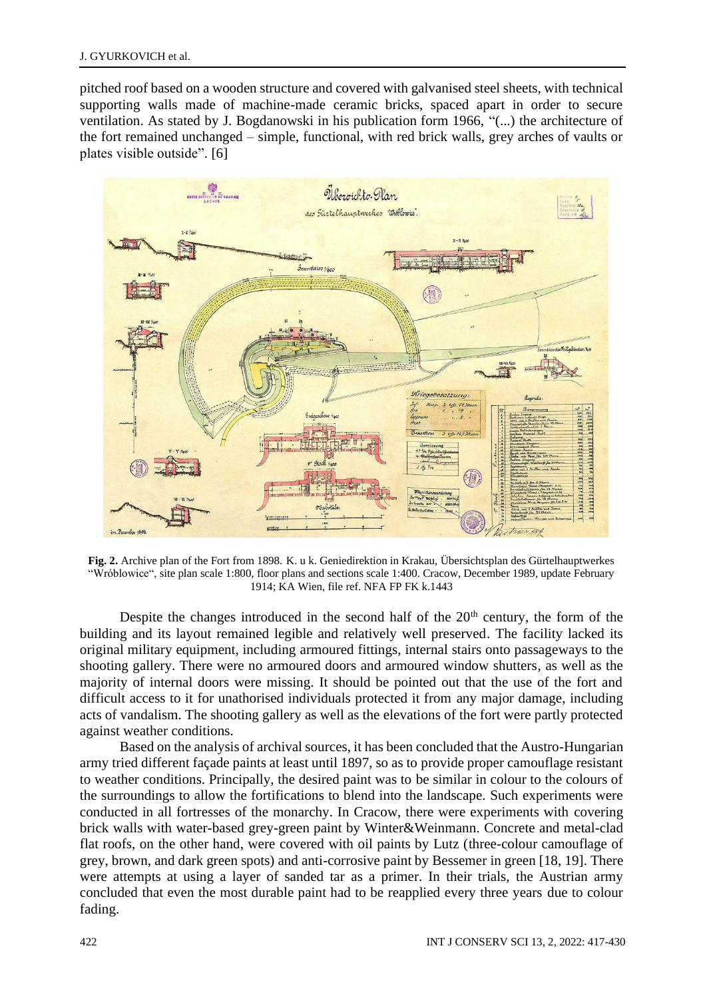pitched roof based on a wooden structure and covered with galvanised steel sheets, with technical supporting walls made of machine-made ceramic bricks, spaced apart in order to secure ventilation. As stated by J. Bogdanowski in his publication form 1966, "(...) the architecture of the fort remained unchanged – simple, functional, with red brick walls, grey arches of vaults or plates visible outside". [6]



**Fig. 2.** Archive plan of the Fort from 1898. K. u k. Geniedirektion in Krakau, Übersichtsplan des Gürtelhauptwerkes "Wróblowice", site plan scale 1:800, floor plans and sections scale 1:400. Cracow, December 1989, update February 1914; KA Wien, file ref. NFA FP FK k.1443

Despite the changes introduced in the second half of the 20<sup>th</sup> century, the form of the building and its layout remained legible and relatively well preserved. The facility lacked its original military equipment, including armoured fittings, internal stairs onto passageways to the shooting gallery. There were no armoured doors and armoured window shutters, as well as the majority of internal doors were missing. It should be pointed out that the use of the fort and difficult access to it for unathorised individuals protected it from any major damage, including acts of vandalism. The shooting gallery as well as the elevations of the fort were partly protected against weather conditions.

Based on the analysis of archival sources, it has been concluded that the Austro-Hungarian army tried different façade paints at least until 1897, so as to provide proper camouflage resistant to weather conditions. Principally, the desired paint was to be similar in colour to the colours of the surroundings to allow the fortifications to blend into the landscape. Such experiments were conducted in all fortresses of the monarchy. In Cracow, there were experiments with covering brick walls with water-based grey-green paint by Winter&Weinmann. Concrete and metal-clad flat roofs, on the other hand, were covered with oil paints by Lutz (three-colour camouflage of grey, brown, and dark green spots) and anti-corrosive paint by Bessemer in green [18, 19]. There were attempts at using a layer of sanded tar as a primer. In their trials, the Austrian army concluded that even the most durable paint had to be reapplied every three years due to colour fading.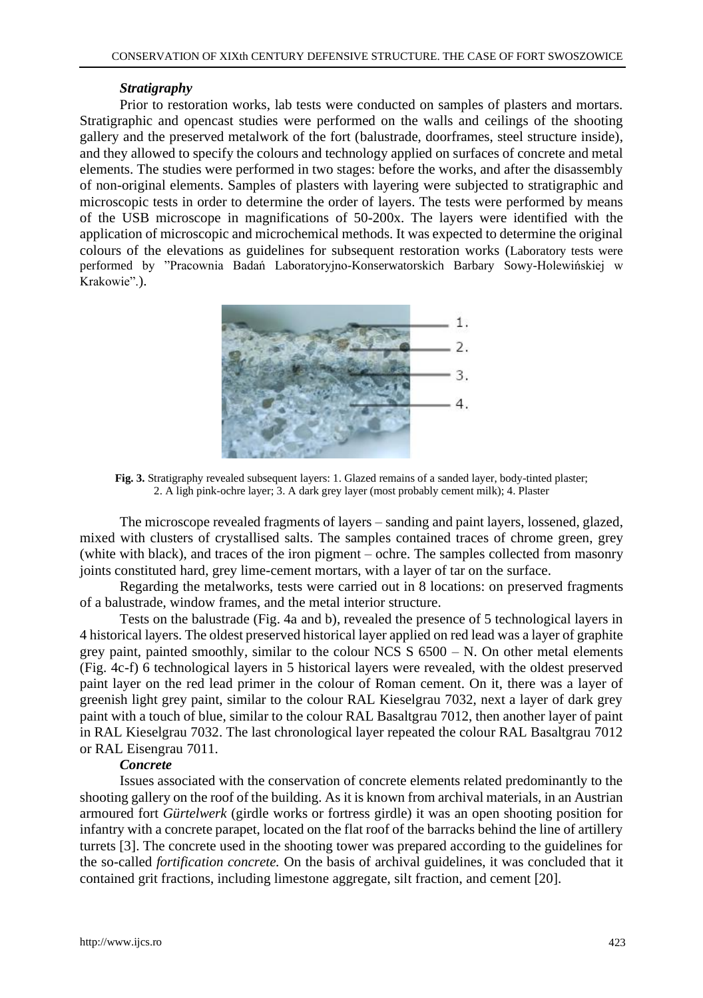## *Stratigraphy*

Prior to restoration works, lab tests were conducted on samples of plasters and mortars. Stratigraphic and opencast studies were performed on the walls and ceilings of the shooting gallery and the preserved metalwork of the fort (balustrade, doorframes, steel structure inside), and they allowed to specify the colours and technology applied on surfaces of concrete and metal elements. The studies were performed in two stages: before the works, and after the disassembly of non-original elements. Samples of plasters with layering were subjected to stratigraphic and microscopic tests in order to determine the order of layers. The tests were performed by means of the USB microscope in magnifications of 50-200x. The layers were identified with the application of microscopic and microchemical methods. It was expected to determine the original colours of the elevations as guidelines for subsequent restoration works (Laboratory tests were performed by "Pracownia Badań Laboratoryjno-Konserwatorskich Barbary Sowy-Holewińskiej w Krakowie".).



**Fig. 3.** Stratigraphy revealed subsequent layers: 1. Glazed remains of a sanded layer, body-tinted plaster; 2. A ligh pink-ochre layer; 3. A dark grey layer (most probably cement milk); 4. Plaster

The microscope revealed fragments of layers – sanding and paint layers, lossened, glazed, mixed with clusters of crystallised salts. The samples contained traces of chrome green, grey (white with black), and traces of the iron pigment – ochre. The samples collected from masonry joints constituted hard, grey lime-cement mortars, with a layer of tar on the surface.

Regarding the metalworks, tests were carried out in 8 locations: on preserved fragments of a balustrade, window frames, and the metal interior structure.

Tests on the balustrade (Fig. 4a and b), revealed the presence of 5 technological layers in 4 historical layers. The oldest preserved historical layer applied on red lead was a layer of graphite grey paint, painted smoothly, similar to the colour NCS  $S$  6500 – N. On other metal elements (Fig. 4c-f) 6 technological layers in 5 historical layers were revealed, with the oldest preserved paint layer on the red lead primer in the colour of Roman cement. On it, there was a layer of greenish light grey paint, similar to the colour RAL Kieselgrau 7032, next a layer of dark grey paint with a touch of blue, similar to the colour RAL Basaltgrau 7012, then another layer of paint in RAL Kieselgrau 7032. The last chronological layer repeated the colour RAL Basaltgrau 7012 or RAL Eisengrau 7011.

## *Concrete*

Issues associated with the conservation of concrete elements related predominantly to the shooting gallery on the roof of the building. As it is known from archival materials, in an Austrian armoured fort *Gürtelwerk* (girdle works or fortress girdle) it was an open shooting position for infantry with a concrete parapet, located on the flat roof of the barracks behind the line of artillery turrets [3]. The concrete used in the shooting tower was prepared according to the guidelines for the so-called *fortification concrete.* On the basis of archival guidelines, it was concluded that it contained grit fractions, including limestone aggregate, silt fraction, and cement [20].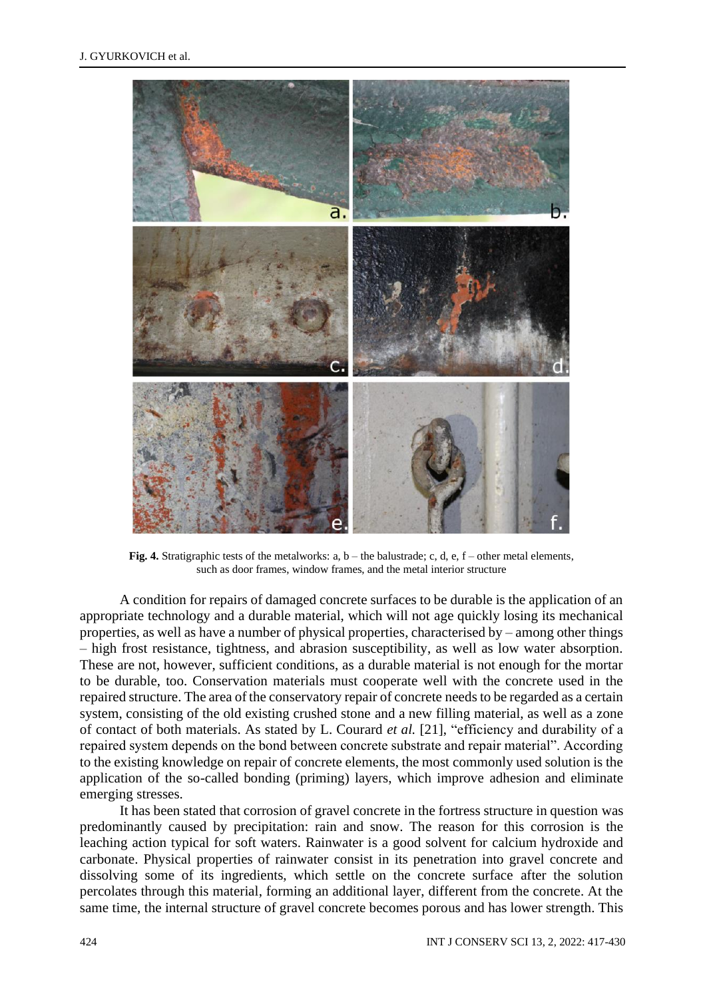

**Fig. 4.** Stratigraphic tests of the metalworks:  $a, b$  – the balustrade; c, d, e,  $f$  – other metal elements, such as door frames, window frames, and the metal interior structure

A condition for repairs of damaged concrete surfaces to be durable is the application of an appropriate technology and a durable material, which will not age quickly losing its mechanical properties, as well as have a number of physical properties, characterised by – among other things – high frost resistance, tightness, and abrasion susceptibility, as well as low water absorption. These are not, however, sufficient conditions, as a durable material is not enough for the mortar to be durable, too. Conservation materials must cooperate well with the concrete used in the repaired structure. The area of the conservatory repair of concrete needs to be regarded as a certain system, consisting of the old existing crushed stone and a new filling material, as well as a zone of contact of both materials. As stated by L. Courard *et al.* [21], "efficiency and durability of a repaired system depends on the bond between concrete substrate and repair material". According to the existing knowledge on repair of concrete elements, the most commonly used solution is the application of the so-called bonding (priming) layers, which improve adhesion and eliminate emerging stresses.

It has been stated that corrosion of gravel concrete in the fortress structure in question was predominantly caused by precipitation: rain and snow. The reason for this corrosion is the leaching action typical for soft waters. Rainwater is a good solvent for calcium hydroxide and carbonate. Physical properties of rainwater consist in its penetration into gravel concrete and dissolving some of its ingredients, which settle on the concrete surface after the solution percolates through this material, forming an additional layer, different from the concrete. At the same time, the internal structure of gravel concrete becomes porous and has lower strength. This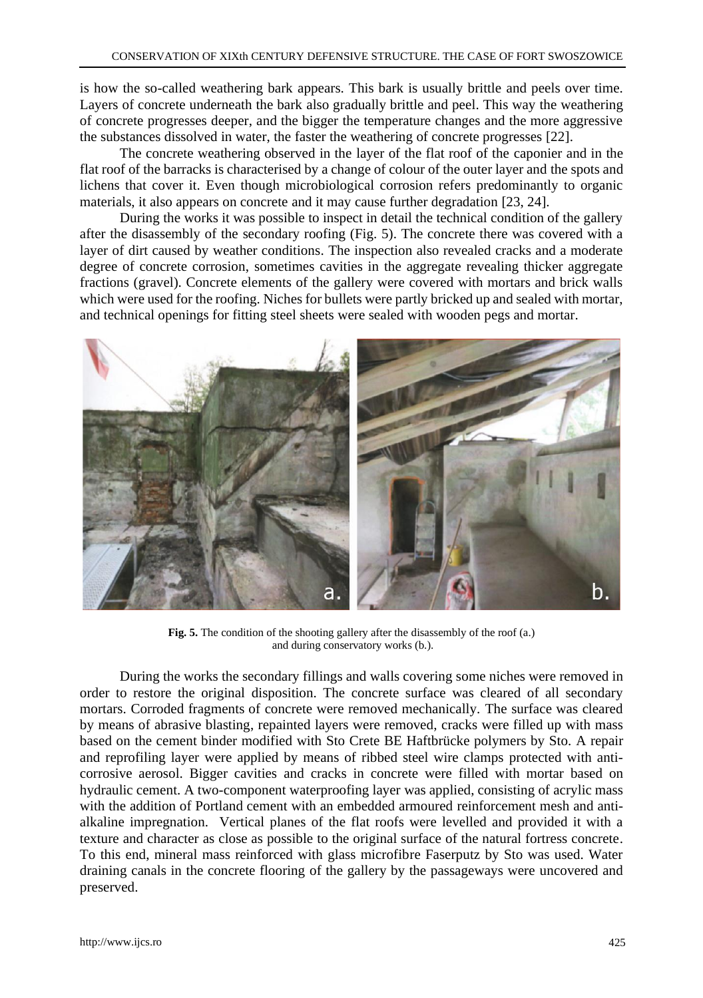is how the so-called weathering bark appears. This bark is usually brittle and peels over time. Layers of concrete underneath the bark also gradually brittle and peel. This way the weathering of concrete progresses deeper, and the bigger the temperature changes and the more aggressive the substances dissolved in water, the faster the weathering of concrete progresses [22].

The concrete weathering observed in the layer of the flat roof of the caponier and in the flat roof of the barracks is characterised by a change of colour of the outer layer and the spots and lichens that cover it. Even though microbiological corrosion refers predominantly to organic materials, it also appears on concrete and it may cause further degradation [23, 24].

During the works it was possible to inspect in detail the technical condition of the gallery after the disassembly of the secondary roofing (Fig. 5). The concrete there was covered with a layer of dirt caused by weather conditions. The inspection also revealed cracks and a moderate degree of concrete corrosion, sometimes cavities in the aggregate revealing thicker aggregate fractions (gravel). Concrete elements of the gallery were covered with mortars and brick walls which were used for the roofing. Niches for bullets were partly bricked up and sealed with mortar, and technical openings for fitting steel sheets were sealed with wooden pegs and mortar.



**Fig. 5.** The condition of the shooting gallery after the disassembly of the roof (a.) and during conservatory works (b.).

During the works the secondary fillings and walls covering some niches were removed in order to restore the original disposition. The concrete surface was cleared of all secondary mortars. Corroded fragments of concrete were removed mechanically. The surface was cleared by means of abrasive blasting, repainted layers were removed, cracks were filled up with mass based on the cement binder modified with Sto Crete BE Haftbrücke polymers by Sto. A repair and reprofiling layer were applied by means of ribbed steel wire clamps protected with anticorrosive aerosol. Bigger cavities and cracks in concrete were filled with mortar based on hydraulic cement. A two-component waterproofing layer was applied, consisting of acrylic mass with the addition of Portland cement with an embedded armoured reinforcement mesh and antialkaline impregnation. Vertical planes of the flat roofs were levelled and provided it with a texture and character as close as possible to the original surface of the natural fortress concrete. To this end, mineral mass reinforced with glass microfibre Faserputz by Sto was used. Water draining canals in the concrete flooring of the gallery by the passageways were uncovered and preserved.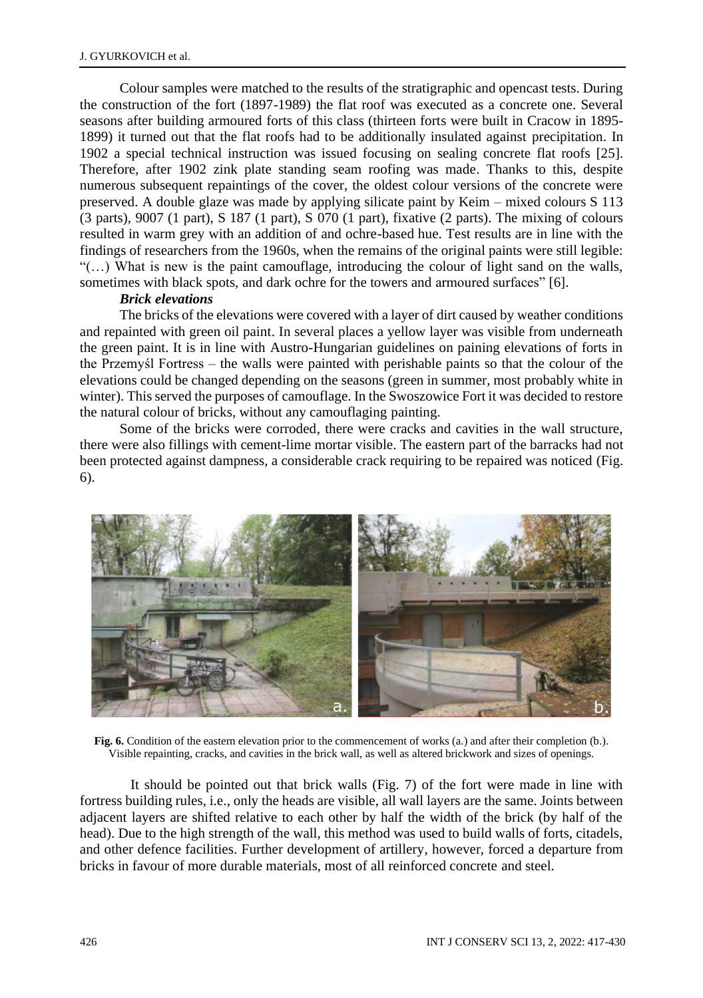Colour samples were matched to the results of the stratigraphic and opencast tests. During the construction of the fort (1897-1989) the flat roof was executed as a concrete one. Several seasons after building armoured forts of this class (thirteen forts were built in Cracow in 1895- 1899) it turned out that the flat roofs had to be additionally insulated against precipitation. In 1902 a special technical instruction was issued focusing on sealing concrete flat roofs [25]. Therefore, after 1902 zink plate standing seam roofing was made. Thanks to this, despite numerous subsequent repaintings of the cover, the oldest colour versions of the concrete were preserved. A double glaze was made by applying silicate paint by Keim – mixed colours S 113 (3 parts), 9007 (1 part), S 187 (1 part), S 070 (1 part), fixative (2 parts). The mixing of colours resulted in warm grey with an addition of and ochre-based hue. Test results are in line with the findings of researchers from the 1960s, when the remains of the original paints were still legible: "(…) What is new is the paint camouflage, introducing the colour of light sand on the walls, sometimes with black spots, and dark ochre for the towers and armoured surfaces" [6].

#### *Brick elevations*

The bricks of the elevations were covered with a layer of dirt caused by weather conditions and repainted with green oil paint. In several places a yellow layer was visible from underneath the green paint. It is in line with Austro-Hungarian guidelines on paining elevations of forts in the Przemyśl Fortress – the walls were painted with perishable paints so that the colour of the elevations could be changed depending on the seasons (green in summer, most probably white in winter). This served the purposes of camouflage. In the Swoszowice Fort it was decided to restore the natural colour of bricks, without any camouflaging painting.

Some of the bricks were corroded, there were cracks and cavities in the wall structure, there were also fillings with cement-lime mortar visible. The eastern part of the barracks had not been protected against dampness, a considerable crack requiring to be repaired was noticed (Fig. 6).



**Fig. 6.** Condition of the eastern elevation prior to the commencement of works (a.) and after their completion (b.). Visible repainting, cracks, and cavities in the brick wall, as well as altered brickwork and sizes of openings.

It should be pointed out that brick walls (Fig. 7) of the fort were made in line with fortress building rules, i.e., only the heads are visible, all wall layers are the same. Joints between adjacent layers are shifted relative to each other by half the width of the brick (by half of the head). Due to the high strength of the wall, this method was used to build walls of forts, citadels, and other defence facilities. Further development of artillery, however, forced a departure from bricks in favour of more durable materials, most of all reinforced concrete and steel.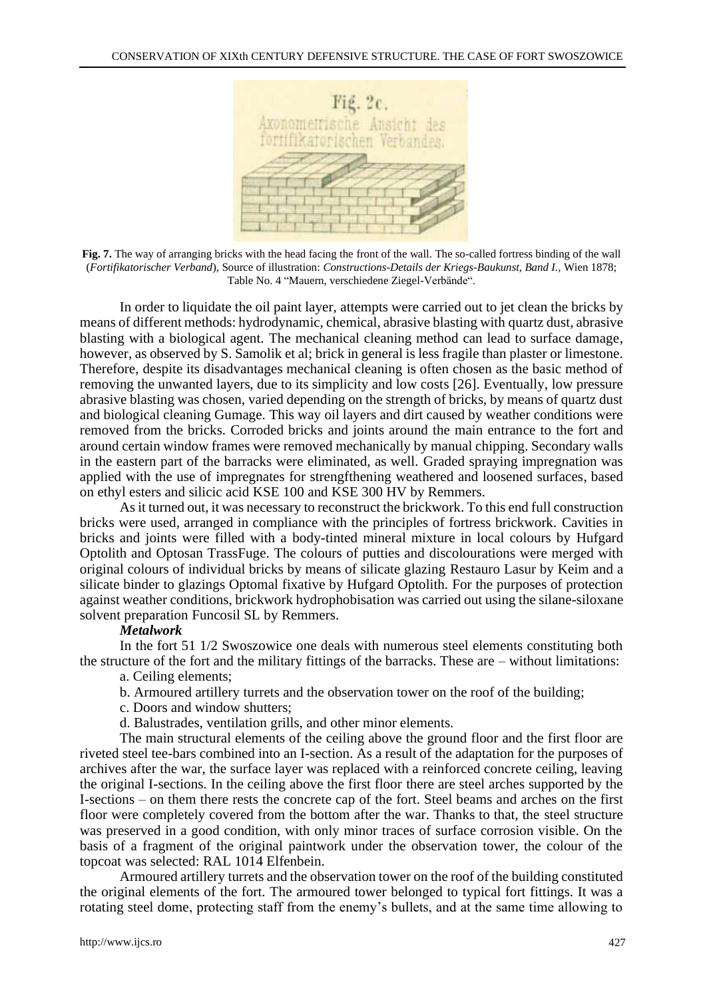

**Fig. 7.** The way of arranging bricks with the head facing the front of the wall. The so-called fortress binding of the wall (*Fortifikatorischer Verband*), Source of illustration: *Constructions-Details der Kriegs-Baukunst, Band I.,* Wien 1878; Table No. 4 "Mauern, verschiedene Ziegel-Verbände".

In order to liquidate the oil paint layer, attempts were carried out to jet clean the bricks by means of different methods: hydrodynamic, chemical, abrasive blasting with quartz dust, abrasive blasting with a biological agent. The mechanical cleaning method can lead to surface damage, however, as observed by S. Samolik et al; brick in general is less fragile than plaster or limestone. Therefore, despite its disadvantages mechanical cleaning is often chosen as the basic method of removing the unwanted layers, due to its simplicity and low costs [26]. Eventually, low pressure abrasive blasting was chosen, varied depending on the strength of bricks, by means of quartz dust and biological cleaning Gumage. This way oil layers and dirt caused by weather conditions were removed from the bricks. Corroded bricks and joints around the main entrance to the fort and around certain window frames were removed mechanically by manual chipping. Secondary walls in the eastern part of the barracks were eliminated, as well. Graded spraying impregnation was applied with the use of impregnates for strengfthening weathered and loosened surfaces, based on ethyl esters and silicic acid KSE 100 and KSE 300 HV by Remmers.

As it turned out, it was necessary to reconstruct the brickwork. To this end full construction bricks were used, arranged in compliance with the principles of fortress brickwork. Cavities in bricks and joints were filled with a body-tinted mineral mixture in local colours by Hufgard Optolith and Optosan TrassFuge. The colours of putties and discolourations were merged with original colours of individual bricks by means of silicate glazing Restauro Lasur by Keim and a silicate binder to glazings Optomal fixative by Hufgard Optolith. For the purposes of protection against weather conditions, brickwork hydrophobisation was carried out using the silane-siloxane solvent preparation Funcosil SL by Remmers.

## *Metalwork*

In the fort 51 1/2 Swoszowice one deals with numerous steel elements constituting both the structure of the fort and the military fittings of the barracks. These are – without limitations:

- a. Ceiling elements;
- b. Armoured artillery turrets and the observation tower on the roof of the building;
- c. Doors and window shutters;
- d. Balustrades, ventilation grills, and other minor elements.

The main structural elements of the ceiling above the ground floor and the first floor are riveted steel tee-bars combined into an I-section. As a result of the adaptation for the purposes of archives after the war, the surface layer was replaced with a reinforced concrete ceiling, leaving the original I-sections. In the ceiling above the first floor there are steel arches supported by the I-sections – on them there rests the concrete cap of the fort. Steel beams and arches on the first floor were completely covered from the bottom after the war. Thanks to that, the steel structure was preserved in a good condition, with only minor traces of surface corrosion visible. On the basis of a fragment of the original paintwork under the observation tower, the colour of the topcoat was selected: RAL 1014 Elfenbein.

Armoured artillery turrets and the observation tower on the roof of the building constituted the original elements of the fort. The armoured tower belonged to typical fort fittings. It was a rotating steel dome, protecting staff from the enemy's bullets, and at the same time allowing to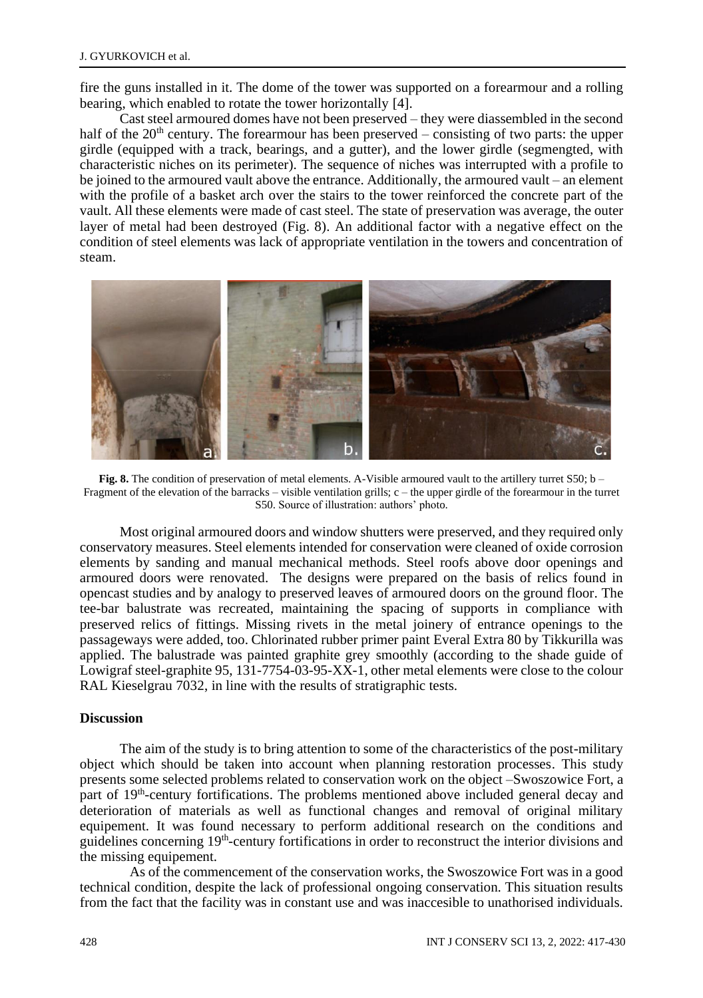fire the guns installed in it. The dome of the tower was supported on a forearmour and a rolling bearing, which enabled to rotate the tower horizontally [4].

Cast steel armoured domes have not been preserved – they were diassembled in the second half of the  $20<sup>th</sup>$  century. The forearmour has been preserved – consisting of two parts: the upper girdle (equipped with a track, bearings, and a gutter), and the lower girdle (segmengted, with characteristic niches on its perimeter). The sequence of niches was interrupted with a profile to be joined to the armoured vault above the entrance. Additionally, the armoured vault – an element with the profile of a basket arch over the stairs to the tower reinforced the concrete part of the vault. All these elements were made of cast steel. The state of preservation was average, the outer layer of metal had been destroyed (Fig. 8). An additional factor with a negative effect on the condition of steel elements was lack of appropriate ventilation in the towers and concentration of steam.



**Fig. 8.** The condition of preservation of metal elements. A-Visible armoured vault to the artillery turret S50; b – Fragment of the elevation of the barracks – visible ventilation grills;  $c$  – the upper girdle of the forearmour in the turret S50. Source of illustration: authors' photo.

Most original armoured doors and window shutters were preserved, and they required only conservatory measures. Steel elements intended for conservation were cleaned of oxide corrosion elements by sanding and manual mechanical methods. Steel roofs above door openings and armoured doors were renovated. The designs were prepared on the basis of relics found in opencast studies and by analogy to preserved leaves of armoured doors on the ground floor. The tee-bar balustrate was recreated, maintaining the spacing of supports in compliance with preserved relics of fittings. Missing rivets in the metal joinery of entrance openings to the passageways were added, too. Chlorinated rubber primer paint Everal Extra 80 by Tikkurilla was applied. The balustrade was painted graphite grey smoothly (according to the shade guide of Lowigraf steel-graphite 95, 131-7754-03-95-XX-1, other metal elements were close to the colour RAL Kieselgrau 7032, in line with the results of stratigraphic tests.

## **Discussion**

The aim of the study is to bring attention to some of the characteristics of the post-military object which should be taken into account when planning restoration processes. This study presents some selected problems related to conservation work on the object –Swoszowice Fort, a part of 19<sup>th</sup>-century fortifications. The problems mentioned above included general decay and deterioration of materials as well as functional changes and removal of original military equipement. It was found necessary to perform additional research on the conditions and guidelines concerning 19<sup>th</sup>-century fortifications in order to reconstruct the interior divisions and the missing equipement.

As of the commencement of the conservation works, the Swoszowice Fort was in a good technical condition, despite the lack of professional ongoing conservation. This situation results from the fact that the facility was in constant use and was inaccesible to unathorised individuals.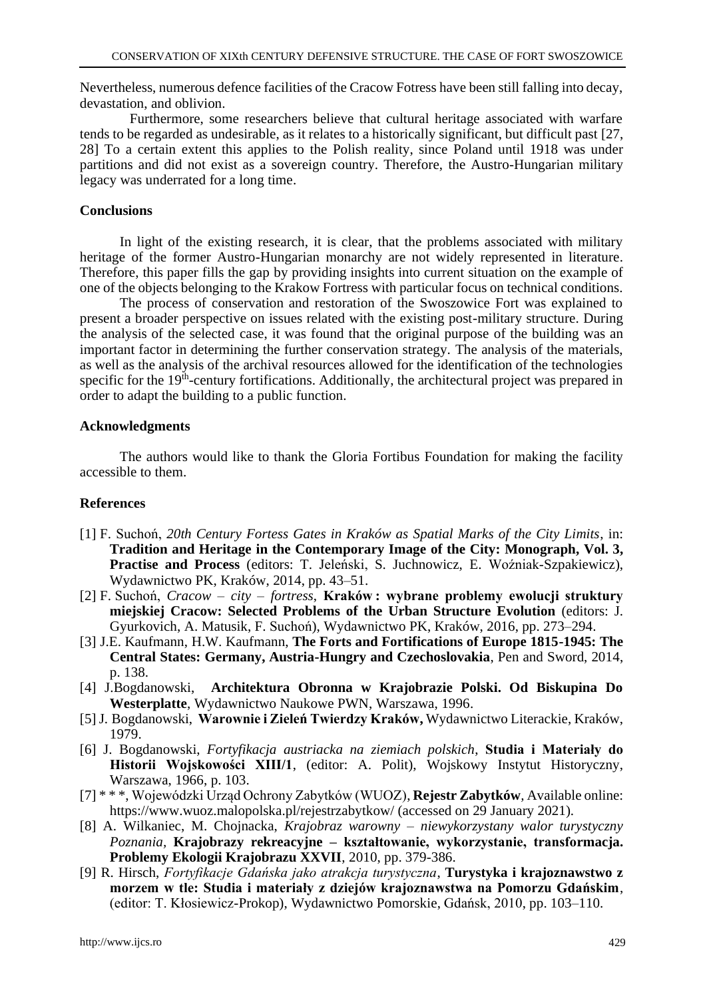Nevertheless, numerous defence facilities of the Cracow Fotress have been still falling into decay, devastation, and oblivion.

Furthermore, some researchers believe that cultural heritage associated with warfare tends to be regarded as undesirable, as it relates to a historically significant, but difficult past [27, 28] To a certain extent this applies to the Polish reality, since Poland until 1918 was under partitions and did not exist as a sovereign country. Therefore, the Austro-Hungarian military legacy was underrated for a long time.

## **Conclusions**

In light of the existing research, it is clear, that the problems associated with military heritage of the former Austro-Hungarian monarchy are not widely represented in literature. Therefore, this paper fills the gap by providing insights into current situation on the example of one of the objects belonging to the Krakow Fortress with particular focus on technical conditions.

The process of conservation and restoration of the Swoszowice Fort was explained to present a broader perspective on issues related with the existing post-military structure. During the analysis of the selected case, it was found that the original purpose of the building was an important factor in determining the further conservation strategy. The analysis of the materials, as well as the analysis of the archival resources allowed for the identification of the technologies specific for the 19<sup>th</sup>-century fortifications. Additionally, the architectural project was prepared in order to adapt the building to a public function.

## **Acknowledgments**

The authors would like to thank the Gloria Fortibus Foundation for making the facility accessible to them.

## **References**

- [1] F. Suchoń, *20th Century Fortess Gates in Kraków as Spatial Marks of the City Limits*, in: **Tradition and Heritage in the Contemporary Image of the City: Monograph, Vol. 3, Practise and Process** (editors: T. Jeleński, S. Juchnowicz, E. Woźniak-Szpakiewicz), Wydawnictwo PK, Kraków, 2014, pp. 43–51.
- [2] F. Suchoń, *Cracow – city – fortress*, **Kraków : wybrane problemy ewolucji struktury miejskiej Cracow: Selected Problems of the Urban Structure Evolution** (editors: J. Gyurkovich, A. Matusik, F. Suchoń), Wydawnictwo PK, Kraków, 2016, pp. 273–294.
- [3] J.E. Kaufmann, H.W. Kaufmann, **The Forts and Fortifications of Europe 1815-1945: The Central States: Germany, Austria-Hungry and Czechoslovakia**, Pen and Sword, 2014, p. 138.
- [4] J.Bogdanowski, **Architektura Obronna w Krajobrazie Polski. Od Biskupina Do Westerplatte**, Wydawnictwo Naukowe PWN, Warszawa, 1996.
- [5] J. Bogdanowski, **Warownie i Zieleń Twierdzy Kraków,** Wydawnictwo Literackie, Kraków, 1979.
- [6] J. Bogdanowski, *Fortyfikacja austriacka na ziemiach polskich*, **Studia i Materiały do Historii Wojskowości XIII/1**, (editor: A. Polit), Wojskowy Instytut Historyczny, Warszawa, 1966, p. 103.
- [7] \* \* \*, Wojewódzki Urząd Ochrony Zabytków (WUOZ), **Rejestr Zabytków***,* Available online: https://www.wuoz.malopolska.pl/rejestrzabytkow/ (accessed on 29 January 2021).
- [8] A. Wilkaniec, M. Chojnacka, *Krajobraz warowny – niewykorzystany walor turystyczny Poznania,* **Krajobrazy rekreacyjne – kształtowanie, wykorzystanie, transformacja. Problemy Ekologii Krajobrazu XXVII**, 2010, pp. 379-386.
- [9] R. Hirsch, *Fortyfikacje Gdańska jako atrakcja turystyczna*, **Turystyka i krajoznawstwo z morzem w tle: Studia i materiały z dziejów krajoznawstwa na Pomorzu Gdańskim**, (editor: T. Kłosiewicz-Prokop), Wydawnictwo Pomorskie, Gdańsk, 2010, pp. 103–110.